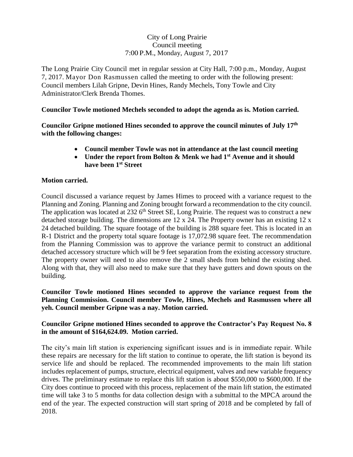## City of Long Prairie Council meeting 7:00 P.M., Monday, August 7, 2017

The Long Prairie City Council met in regular session at City Hall, 7:00 p.m., Monday, August 7, 2017. Mayor Don Rasmussen called the meeting to order with the following present: Council members Lilah Gripne, Devin Hines, Randy Mechels, Tony Towle and City Administrator/Clerk Brenda Thomes.

### **Councilor Towle motioned Mechels seconded to adopt the agenda as is. Motion carried.**

**Councilor Gripne motioned Hines seconded to approve the council minutes of July 17th with the following changes:**

- **Council member Towle was not in attendance at the last council meeting**
- **Under the report from Bolton & Menk we had 1st Avenue and it should have been 1st Street**

### **Motion carried.**

Council discussed a variance request by James Himes to proceed with a variance request to the Planning and Zoning. Planning and Zoning brought forward a recommendation to the city council. The application was located at  $232.6^{\text{th}}$  Street SE, Long Prairie. The request was to construct a new detached storage building. The dimensions are 12 x 24. The Property owner has an existing 12 x 24 detached building. The square footage of the building is 288 square feet. This is located in an R-1 District and the property total square footage is 17,072.98 square feet. The recommendation from the Planning Commission was to approve the variance permit to construct an additional detached accessory structure which will be 9 feet separation from the existing accessory structure. The property owner will need to also remove the 2 small sheds from behind the existing shed. Along with that, they will also need to make sure that they have gutters and down spouts on the building.

### **Councilor Towle motioned Hines seconded to approve the variance request from the Planning Commission. Council member Towle, Hines, Mechels and Rasmussen where all yeh. Council member Gripne was a nay. Motion carried.**

## **Councilor Gripne motioned Hines seconded to approve the Contractor's Pay Request No. 8 in the amount of \$164,624.09. Motion carried.**

The city's main lift station is experiencing significant issues and is in immediate repair. While these repairs are necessary for the lift station to continue to operate, the lift station is beyond its service life and should be replaced. The recommended improvements to the main lift station includes replacement of pumps, structure, electrical equipment, valves and new variable frequency drives. The preliminary estimate to replace this lift station is about \$550,000 to \$600,000. If the City does continue to proceed with this process, replacement of the main lift station, the estimated time will take 3 to 5 months for data collection design with a submittal to the MPCA around the end of the year. The expected construction will start spring of 2018 and be completed by fall of 2018.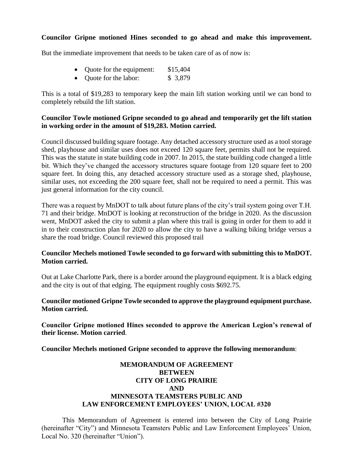#### **Councilor Gripne motioned Hines seconded to go ahead and make this improvement.**

But the immediate improvement that needs to be taken care of as of now is:

- Quote for the equipment: \$15,404
- Ouote for the labor: \$ 3,879

This is a total of \$19,283 to temporary keep the main lift station working until we can bond to completely rebuild the lift station.

#### **Councilor Towle motioned Gripne seconded to go ahead and temporarily get the lift station in working order in the amount of \$19,283. Motion carried.**

Council discussed building square footage. Any detached accessory structure used as a tool storage shed, playhouse and similar uses does not exceed 120 square feet, permits shall not be required. This was the statute in state building code in 2007. In 2015, the state building code changed a little bit. Which they've changed the accessory structures square footage from 120 square feet to 200 square feet. In doing this, any detached accessory structure used as a storage shed, playhouse, similar uses, not exceeding the 200 square feet, shall not be required to need a permit. This was just general information for the city council.

There was a request by MnDOT to talk about future plans of the city's trail system going over T.H. 71 and their bridge. MnDOT is looking at reconstruction of the bridge in 2020. As the discussion went, MnDOT asked the city to submit a plan where this trail is going in order for them to add it in to their construction plan for 2020 to allow the city to have a walking biking bridge versus a share the road bridge. Council reviewed this proposed trail

### **Councilor Mechels motioned Towle seconded to go forward with submitting this to MnDOT. Motion carried.**

Out at Lake Charlotte Park, there is a border around the playground equipment. It is a black edging and the city is out of that edging. The equipment roughly costs \$692.75.

**Councilor motioned Gripne Towle seconded to approve the playground equipment purchase. Motion carried.**

**Councilor Gripne motioned Hines seconded to approve the American Legion's renewal of their license. Motion carried**.

**Councilor Mechels motioned Gripne seconded to approve the following memorandum**:

### **MEMORANDUM OF AGREEMENT BETWEEN CITY OF LONG PRAIRIE AND MINNESOTA TEAMSTERS PUBLIC AND LAW ENFORCEMENT EMPLOYEES' UNION, LOCAL #320**

This Memorandum of Agreement is entered into between the City of Long Prairie (hereinafter "City") and Minnesota Teamsters Public and Law Enforcement Employees' Union, Local No. 320 (hereinafter "Union").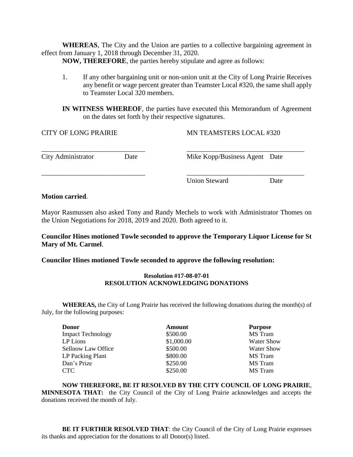**WHEREAS**, The City and the Union are parties to a collective bargaining agreement in effect from January 1, 2018 through December 31, 2020.

**NOW, THEREFORE**, the parties hereby stipulate and agree as follows:

1. If any other bargaining unit or non-union unit at the City of Long Prairie Receives any benefit or wage percent greater than Teamster Local #320, the same shall apply to Teamster Local 320 members.

**IN WITNESS WHEREOF**, the parties have executed this Memorandum of Agreement on the dates set forth by their respective signatures.

| <b>CITY OF LONG PRAIRIE</b> |      | <b>MN TEAMSTERS LOCAL #320</b> |      |
|-----------------------------|------|--------------------------------|------|
| City Administrator          | Date | Mike Kopp/Business Agent Date  |      |
|                             |      | Union Steward                  | Date |

#### **Motion carried**.

Mayor Rasmussen also asked Tony and Randy Mechels to work with Administrator Thomes on the Union Negotiations for 2018, 2019 and 2020. Both agreed to it.

**Councilor Hines motioned Towle seconded to approve the Temporary Liquor License for St Mary of Mt. Carmel**.

**Councilor Hines motioned Towle seconded to approve the following resolution:**

#### **Resolution #17-08-07-01 RESOLUTION ACKNOWLEDGING DONATIONS**

**WHEREAS,** the City of Long Prairie has received the following donations during the month(s) of July, for the following purposes:

| <b>Donor</b>             | <b>Amount</b> | <b>Purpose</b>    |
|--------------------------|---------------|-------------------|
| <b>Impact Technology</b> | \$500.00      | <b>MS</b> Tram    |
| LP Lions                 | \$1,000.00    | <b>Water Show</b> |
| Sellnow Law Office       | \$500.00      | <b>Water Show</b> |
| LP Packing Plant         | \$800.00      | MS Tram           |
| Dan's Prize              | \$250.00      | MS Tram           |
| CTC                      | \$250.00      | MS Tram           |

**NOW THEREFORE, BE IT RESOLVED BY THE CITY COUNCIL OF LONG PRAIRIE**, **MINNESOTA THAT:** the City Council of the City of Long Prairie acknowledges and accepts the donations received the month of July.

**BE IT FURTHER RESOLVED THAT**: the City Council of the City of Long Prairie expresses its thanks and appreciation for the donations to all Donor(s) listed.